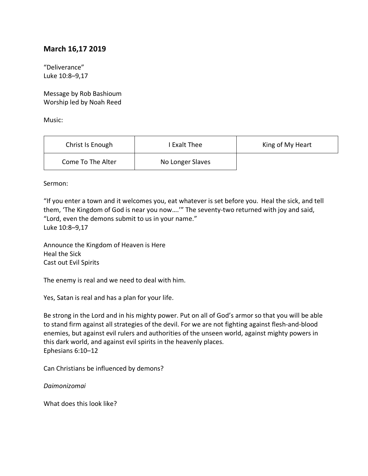## **March 16,17 2019**

"Deliverance" Luke 10:8–9,17

Message by Rob Bashioum Worship led by Noah Reed

Music:

| Christ Is Enough  | I Exalt Thee     | King of My Heart |
|-------------------|------------------|------------------|
| Come To The Alter | No Longer Slaves |                  |

Sermon:

"If you enter a town and it welcomes you, eat whatever is set before you. Heal the sick, and tell them, 'The Kingdom of God is near you now….'" The seventy-two returned with joy and said, "Lord, even the demons submit to us in your name." Luke 10:8–9,17

Announce the Kingdom of Heaven is Here Heal the Sick Cast out Evil Spirits

The enemy is real and we need to deal with him.

Yes, Satan is real and has a plan for your life.

Be strong in the Lord and in his mighty power. Put on all of God's armor so that you will be able to stand firm against all strategies of the devil. For we are not fighting against flesh-and-blood enemies, but against evil rulers and authorities of the unseen world, against mighty powers in this dark world, and against evil spirits in the heavenly places. Ephesians 6:10–12

Can Christians be influenced by demons?

*Daimonizomai*

What does this look like?